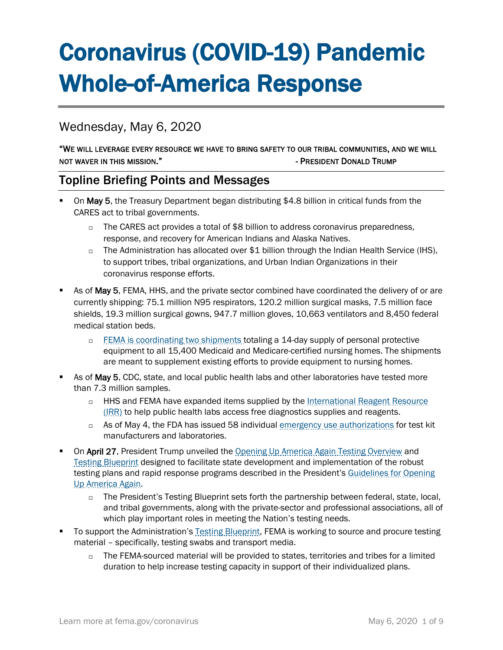# Coronavirus (COVID-19) Pandemic Whole-of-America Response

# Wednesday, May 6, 2020

#### "WE WILL LEVERAGE EVERY RESOURCE WE HAVE TO BRING SAFETY TO OUR TRIBAL COMMUNITIES, AND WE WILL NOT WAVER IN THIS MISSION." The STATE STATE STATE STATE OF PRESIDENT DONALD TRUMP

## Topline Briefing Points and Messages

- On May 5, the Treasury Department began distributing \$4.8 billion in critical funds from the CARES act to tribal governments.
	- $\Box$  The CARES act provides a total of \$8 billion to address coronavirus preparedness, response, and recovery for American Indians and Alaska Natives.
	- $\Box$  The Administration has allocated over \$1 billion through the Indian Health Service (IHS), to support tribes, tribal organizations, and Urban Indian Organizations in their coronavirus response efforts.
- As of May 5, FEMA, HHS, and the private sector combined have coordinated the delivery of or are currently shipping: 75.1 million N95 respirators, 120.2 million surgical masks, 7.5 million face shields, 19.3 million surgical gowns, 947.7 million gloves, 10,663 ventilators and 8,450 federal medical station beds.
	- [FEMA is coordinating two shipments](https://www.fema.gov/news-release/2020/04/30/personal-protective-equipment-medicare-and-medicaid-nursing-homes) totaling a 14-day supply of personal protective equipment to all 15,400 Medicaid and Medicare-certified nursing homes. The shipments are meant to supplement existing efforts to provide equipment to nursing homes.
- As of May 5, CDC, state, and local public health labs and other laboratories have tested more than 7.3 million samples.
	- □ HHS and FEMA have expanded items supplied by the International Reagent Resource [\(IRR\)](http://www.internationalreagentresource.org/) to help public health labs access free diagnostics supplies and reagents.
	- $\Box$  As of May 4, the FDA has issued 58 individual [emergency use authorizations](https://www.fda.gov/medical-devices/emergency-situations-medical-devices/emergency-use-authorizations) for test kit manufacturers and laboratories.
- On April 27, President Trump unveiled the [Opening Up America Again Testing Overview](https://www.whitehouse.gov/wp-content/uploads/2020/04/Testing-Overview-Final.pdf) and [Testing Blueprint](https://www.whitehouse.gov/wp-content/uploads/2020/04/Testing-Overview-Final.pdf) designed to facilitate state development and implementation of the robust testing plans and rapid response programs described in the President's Guidelines for Opening [Up America Again.](https://www.whitehouse.gov/openingamerica/)
	- $\Box$  The President's Testing Blueprint sets forth the partnership between federal, state, local, and tribal governments, along with the private-sector and professional associations, all of which play important roles in meeting the Nation's testing needs.
- To support the Administration's [Testing Blueprint,](https://www.whitehouse.gov/wp-content/uploads/2020/04/Testing-Blueprint.pdf) FEMA is working to source and procure testing material – specifically, testing swabs and transport media.
	- $\Box$  The FEMA-sourced material will be provided to states, territories and tribes for a limited duration to help increase testing capacity in support of their individualized plans.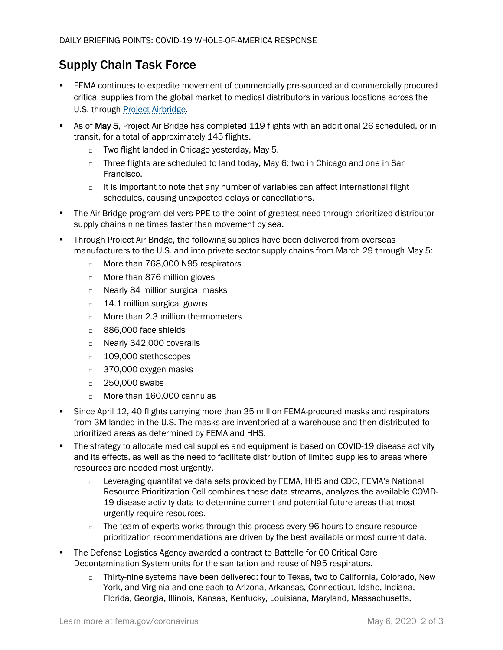# Supply Chain Task Force

- FEMA continues to expedite movement of commercially pre-sourced and commercially procured critical supplies from the global market to medical distributors in various locations across the U.S. through [Project Airbridge.](https://www.fema.gov/news-release/2020/04/08/fema-covid-19-supply-chain-task-force-supply-chain-stabilization)
- As of May 5, Project Air Bridge has completed 119 flights with an additional 26 scheduled, or in transit, for a total of approximately 145 flights.
	- □ Two flight landed in Chicago yesterday, May 5.
	- $\Box$  Three flights are scheduled to land today, May 6: two in Chicago and one in San Francisco.
	- $\Box$  It is important to note that any number of variables can affect international flight schedules, causing unexpected delays or cancellations.
- The Air Bridge program delivers PPE to the point of greatest need through prioritized distributor supply chains nine times faster than movement by sea.
- Through Project Air Bridge, the following supplies have been delivered from overseas manufacturers to the U.S. and into private sector supply chains from March 29 through May 5:
	- □ More than 768,000 N95 respirators
	- □ More than 876 million gloves
	- □ Nearly 84 million surgical masks
	- $\Box$  14.1 million surgical gowns
	- $\Box$  More than 2.3 million thermometers
	- □ 886,000 face shields
	- □ Nearly 342,000 coveralls
	- □ 109,000 stethoscopes
	- □ 370,000 oxygen masks
	- □ 250,000 swabs
	- More than 160,000 cannulas
- Since April 12, 40 flights carrying more than 35 million FEMA-procured masks and respirators from 3M landed in the U.S. The masks are inventoried at a warehouse and then distributed to prioritized areas as determined by FEMA and HHS.
- The strategy to allocate medical supplies and equipment is based on COVID-19 disease activity and its effects, as well as the need to facilitate distribution of limited supplies to areas where resources are needed most urgently.
	- $\Box$  Leveraging quantitative data sets provided by FEMA, HHS and CDC, FEMA's National Resource Prioritization Cell combines these data streams, analyzes the available COVID-19 disease activity data to determine current and potential future areas that most urgently require resources.
	- $\Box$  The team of experts works through this process every 96 hours to ensure resource prioritization recommendations are driven by the best available or most current data.
- The Defense Logistics Agency awarded a contract to Battelle for 60 Critical Care Decontamination System units for the sanitation and reuse of N95 respirators.
	- $\Box$  Thirty-nine systems have been delivered: four to Texas, two to California, Colorado, New York, and Virginia and one each to Arizona, Arkansas, Connecticut, Idaho, Indiana, Florida, Georgia, Illinois, Kansas, Kentucky, Louisiana, Maryland, Massachusetts,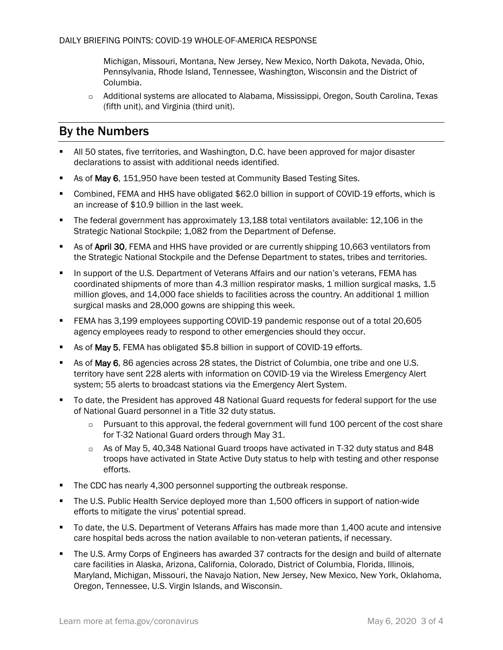Michigan, Missouri, Montana, New Jersey, New Mexico, North Dakota, Nevada, Ohio, Pennsylvania, Rhode Island, Tennessee, Washington, Wisconsin and the District of Columbia.

 Additional systems are allocated to Alabama, Mississippi, Oregon, South Carolina, Texas (fifth unit), and Virginia (third unit).

# By the Numbers

- All 50 states, five territories, and Washington, D.C. have been approved for major disaster declarations to assist with additional needs identified.
- As of May 6, 151,950 have been tested at Community Based Testing Sites.
- Combined, FEMA and HHS have obligated \$62.0 billion in support of COVID-19 efforts, which is an increase of \$10.9 billion in the last week.
- The federal government has approximately 13,188 total ventilators available: 12,106 in the Strategic National Stockpile; 1,082 from the Department of Defense.
- As of April 30, FEMA and HHS have provided or are currently shipping 10,663 ventilators from the Strategic National Stockpile and the Defense Department to states, tribes and territories.
- **IF In support of the U.S. Department of Veterans Affairs and our nation's veterans, FEMA has** coordinated shipments of more than 4.3 million respirator masks, 1 million surgical masks, 1.5 million gloves, and 14,000 face shields to facilities across the country. An additional 1 million surgical masks and 28,000 gowns are shipping this week.
- FEMA has 3,199 employees supporting COVID-19 pandemic response out of a total 20,605 agency employees ready to respond to other emergencies should they occur.
- As of May 5, FEMA has obligated \$5.8 billion in support of COVID-19 efforts.
- As of May 6, 86 agencies across 28 states, the District of Columbia, one tribe and one U.S. territory have sent 228 alerts with information on COVID-19 via the Wireless Emergency Alert system; 55 alerts to broadcast stations via the Emergency Alert System.
- To date, the President has approved 48 National Guard requests for federal support for the use of National Guard personnel in a Title 32 duty status.
	- $\Box$  Pursuant to this approval, the federal government will fund 100 percent of the cost share for T-32 National Guard orders through May 31.
	- As of May 5, 40,348 National Guard troops have activated in T-32 duty status and 848 troops have activated in State Active Duty status to help with testing and other response efforts.
- The CDC has nearly 4,300 personnel supporting the outbreak response.
- The U.S. Public Health Service deployed more than 1,500 officers in support of nation-wide efforts to mitigate the virus' potential spread.
- To date, the U.S. Department of Veterans Affairs has made more than 1,400 acute and intensive care hospital beds across the nation available to non-veteran patients, if necessary.
- The U.S. Army Corps of Engineers has awarded 37 contracts for the design and build of alternate care facilities in Alaska, Arizona, California, Colorado, District of Columbia, Florida, Illinois, Maryland, Michigan, Missouri, the Navajo Nation, New Jersey, New Mexico, New York, Oklahoma, Oregon, Tennessee, U.S. Virgin Islands, and Wisconsin.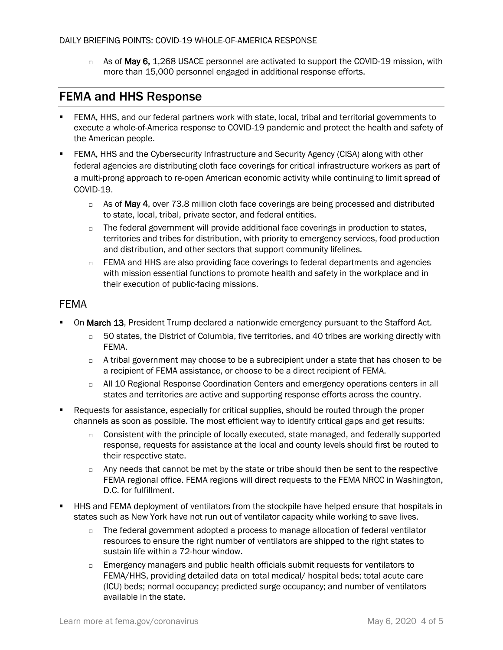$\Box$  As of May 6, 1,268 USACE personnel are activated to support the COVID-19 mission, with more than 15,000 personnel engaged in additional response efforts.

## FEMA and HHS Response

- FEMA, HHS, and our federal partners work with state, local, tribal and territorial governments to execute a whole-of-America response to COVID-19 pandemic and protect the health and safety of the American people.
- FEMA, HHS and the Cybersecurity Infrastructure and Security Agency (CISA) along with other federal agencies are distributing cloth face coverings for critical infrastructure workers as part of a multi-prong approach to re-open American economic activity while continuing to limit spread of COVID-19.
	- $\Box$  As of May 4, over 73.8 million cloth face coverings are being processed and distributed to state, local, tribal, private sector, and federal entities.
	- $\Box$  The federal government will provide additional face coverings in production to states, territories and tribes for distribution, with priority to emergency services, food production and distribution, and other sectors that support community lifelines.
	- $\Box$  FEMA and HHS are also providing face coverings to federal departments and agencies with mission essential functions to promote health and safety in the workplace and in their execution of public-facing missions.

## FEMA

- On March 13, President Trump declared a nationwide emergency pursuant to the Stafford Act.
	- $\Box$  50 states, the District of Columbia, five territories, and 40 tribes are working directly with FEMA.
	- $\Box$  A tribal government may choose to be a subrecipient under a state that has chosen to be a recipient of FEMA assistance, or choose to be a direct recipient of FEMA.
	- □ All 10 Regional Response Coordination Centers and emergency operations centers in all states and territories are active and supporting response efforts across the country.
- Requests for assistance, especially for critical supplies, should be routed through the proper channels as soon as possible. The most efficient way to identify critical gaps and get results:
	- $\Box$  Consistent with the principle of locally executed, state managed, and federally supported response, requests for assistance at the local and county levels should first be routed to their respective state.
	- $\Box$  Any needs that cannot be met by the state or tribe should then be sent to the respective FEMA regional office. FEMA regions will direct requests to the FEMA NRCC in Washington, D.C. for fulfillment.
- HHS and FEMA deployment of ventilators from the stockpile have helped ensure that hospitals in states such as New York have not run out of ventilator capacity while working to save lives.
	- $\Box$  The federal government adopted a process to manage allocation of federal ventilator resources to ensure the right number of ventilators are shipped to the right states to sustain life within a 72-hour window.
	- $\Box$  Emergency managers and public health officials submit requests for ventilators to FEMA/HHS, providing detailed data on total medical/ hospital beds; total acute care (ICU) beds; normal occupancy; predicted surge occupancy; and number of ventilators available in the state.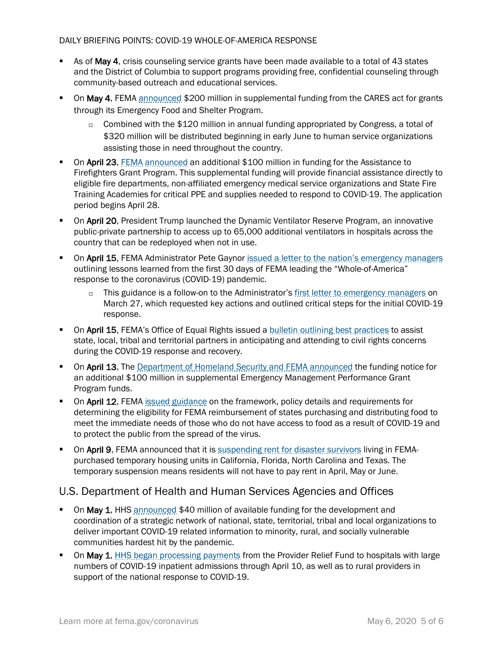#### DAILY BRIEFING POINTS: COVID-19 WHOLE-OF-AMERICA RESPONSE

- **As of May 4, crisis counseling service grants have been made available to a total of 43 states** and the District of Columbia to support programs providing free, confidential counseling through community-based outreach and educational services.
- **On May 4, FEMA** [announced](https://www.fema.gov/news-release/2020/05/04/fema-announces-supplemental-funding-through-cares-act) \$200 million in supplemental funding from the CARES act for grants through its Emergency Food and Shelter Program.
	- $\Box$  Combined with the \$120 million in annual funding appropriated by Congress, a total of \$320 million will be distributed beginning in early June to human service organizations assisting those in need throughout the country.
- On April 23, [FEMA announced](https://www.fema.gov/media-library/assets/documents/187460) an additional \$100 million in funding for the Assistance to Firefighters Grant Program. This supplemental funding will provide financial assistance directly to eligible fire departments, non-affiliated emergency medical service organizations and State Fire Training Academies for critical PPE and supplies needed to respond to COVID-19. The application period begins April 28.
- On April 20, President Trump launched the Dynamic Ventilator Reserve Program, an innovative public-private partnership to access up to 65,000 additional ventilators in hospitals across the country that can be redeployed when not in use.
- On April 15, FEMA Administrator Pete Gaynor [issued a letter to the nation's emergency managers](https://www.fema.gov/news-release/2020/04/15/fema-administrator-april-15-2020-letter-emergency-managers) outlining lessons learned from the first 30 days of FEMA leading the "Whole-of-America" response to the coronavirus (COVID-19) pandemic.
	- $\Box$  This guidance is a follow-on to the Administrator'[s first letter to emergency managers](https://www.fema.gov/news-release/2020/03/27/fema-administrator-march-27-2020-letter-emergency-managers-requesting-action) on March 27, which requested key actions and outlined critical steps for the initial COVID-19 response.
- On April 15, FEMA's Office of Equal Rights issued a [bulletin outlining best practices](https://www.fema.gov/media-library-data/1586893628400-f21a380f3db223e6075eeb3be67d50a6/EnsuringCivilRightsDuringtheCOVID19Response.pdf) to assist state, local, tribal and territorial partners in anticipating and attending to civil rights concerns during the COVID-19 response and recovery.
- On April 13, The [Department of Homeland Security and FEMA announced](https://www.fema.gov/news-release/2020/04/14/fema-announces-funding-notice-emergency-management-performance-grant) the funding notice for an additional \$100 million in supplemental Emergency Management Performance Grant Program funds.
- On April 12, FEMA [issued guidance](https://www.fema.gov/news-release/2020/04/12/coronavirus-covid-19-pandemic-purchase-and-distribution-food-eligible-public) on the framework, policy details and requirements for determining the eligibility for FEMA reimbursement of states purchasing and distributing food to meet the immediate needs of those who do not have access to food as a result of COVID-19 and to protect the public from the spread of the virus.
- On April 9, FEMA announced that it is [suspending rent for disaster survivors](https://www.fema.gov/news-release/2020/04/09/fema-announces-rent-suspension) living in FEMApurchased temporary housing units in California, Florida, North Carolina and Texas. The temporary suspension means residents will not have to pay rent in April, May or June.

## U.S. Department of Health and Human Services Agencies and Offices

- On May 1, HHS [announced](https://www.hhs.gov/about/news/2020/05/01/covid-19-funding-available-to-minority-rural-and-socially-vulnerable-communities-for-linkages-to-services-information-and-education.html) \$40 million of available funding for the development and coordination of a strategic network of national, state, territorial, tribal and local organizations to deliver important COVID-19 related information to minority, rural, and socially vulnerable communities hardest hit by the pandemic.
- On May 1, **HHS began processing payments from the Provider Relief Fund to hospitals with large** numbers of COVID-19 inpatient admissions through April 10, as well as to rural providers in support of the national response to COVID-19.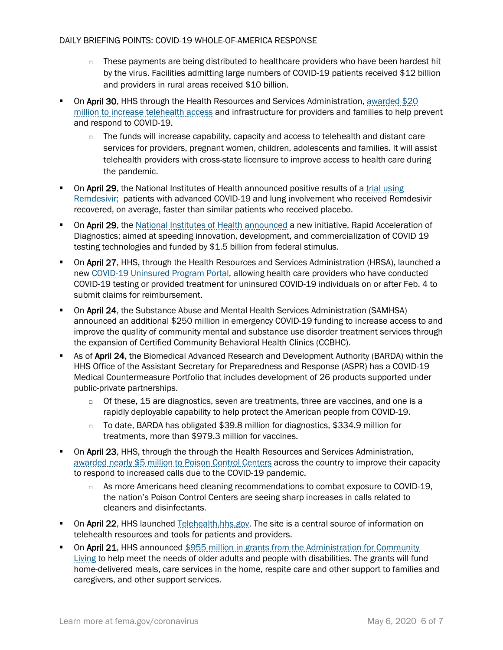- $\Box$  These payments are being distributed to healthcare providers who have been hardest hit by the virus. Facilities admitting large numbers of COVID-19 patients received \$12 billion and providers in rural areas received \$10 billion.
- On April 30, HHS through the Health Resources and Services Administration, awarded \$20 [million to increase telehealth access](https://www.hhs.gov/about/news/2020/04/30/hhs-awards-20-million-to-combat-covid19-pandemic-through-telehealth.html) and infrastructure for providers and families to help prevent and respond to COVID-19.
	- $\Box$  The funds will increase capability, capacity and access to telehealth and distant care services for providers, pregnant women, children, adolescents and families. It will assist telehealth providers with cross-state licensure to improve access to health care during the pandemic.
- On April 29, the National Institutes of Health announced positive results of a trial using [Remdesivir;](https://www.hhs.gov/about/news/2020/04/29/secretary-azar-statement-on-positive-results-from-nih-remdesivir-trial.html) patients with advanced COVID-19 and lung involvement who received Remdesivir recovered, on average, faster than similar patients who received placebo.
- On April 29, the [National Institutes of Health announced](https://www.nih.gov/news-events/news-releases/nih-mobilizes-national-innovation-initiative-covid-19-diagnostics) a new initiative, Rapid Acceleration of Diagnostics; aimed at speeding innovation, development, and commercialization of COVID 19 testing technologies and funded by \$1.5 billion from federal stimulus.
- On April 27, HHS, through the Health Resources and Services Administration (HRSA), launched a ne[w COVID-19 Uninsured Program Portal,](https://www.hrsa.gov/coviduninsuredclaim) allowing health care providers who have conducted COVID-19 testing or provided treatment for uninsured COVID-19 individuals on or after Feb. 4 to submit claims for reimbursement.
- **On April 24, the Substance Abuse and Mental Health Services Administration (SAMHSA)** announced an additional \$250 million in emergency COVID-19 funding to increase access to and improve the quality of community mental and substance use disorder treatment services through the expansion of Certified Community Behavioral Health Clinics (CCBHC).
- As of April 24, the Biomedical Advanced Research and Development Authority (BARDA) within the HHS Office of the Assistant Secretary for Preparedness and Response (ASPR) has a COVID-19 Medical Countermeasure Portfolio that includes development of 26 products supported under public-private partnerships.
	- of these, 15 are diagnostics, seven are treatments, three are vaccines, and one is a rapidly deployable capability to help protect the American people from COVID-19.
	- □ To date, BARDA has obligated \$39.8 million for diagnostics, \$334.9 million for treatments, more than \$979.3 million for vaccines.
- On April 23, HHS, through the through the Health Resources and Services Administration, [awarded nearly \\$5 million to Poison Control Centers](https://www.hhs.gov/about/news/2020/04/23/hhs-awards-nearly-5-million-to-poison-control-centers-as-calls-spike-due-to-covid19.html) across the country to improve their capacity to respond to increased calls due to the COVID-19 pandemic.
	- $\Box$  As more Americans heed cleaning recommendations to combat exposure to COVID-19, the nation's Poison Control Centers are seeing sharp increases in calls related to cleaners and disinfectants.
- On April 22, HHS launched [Telehealth.hhs.gov.](https://telehealth.hhs.gov/) The site is a central source of information on telehealth resources and tools for patients and providers.
- On April 21, HHS announced \$955 million in grants from the Administration for Community [Living](https://www.hhs.gov/about/news/2020/04/21/hhs-announces-nearly-1-billion-cares-act-grants-support-older-adults-people-with-disabilities-community-during-covid-19-emergency.html) to help meet the needs of older adults and people with disabilities. The grants will fund home-delivered meals, care services in the home, respite care and other support to families and caregivers, and other support services.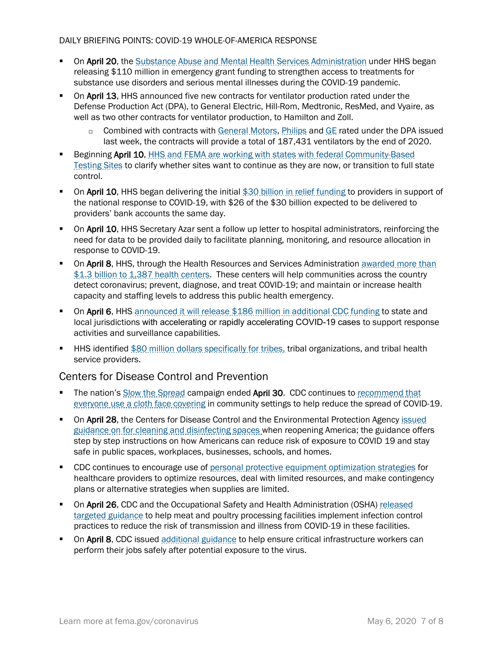#### DAILY BRIEFING POINTS: COVID-19 WHOLE-OF-AMERICA RESPONSE

- On April 20, the [Substance Abuse and Mental Health Services Administration](https://www.samhsa.gov/) under HHS began releasing \$110 million in emergency grant funding to strengthen access to treatments for substance use disorders and serious mental illnesses during the COVID-19 pandemic.
- On April 13, HHS announced five new contracts for ventilator production rated under the Defense Production Act (DPA), to General Electric, Hill-Rom, Medtronic, ResMed, and Vyaire, as well as two other contracts for ventilator production, to Hamilton and Zoll.
	- □ Combined with contracts with [General Motors,](https://www.hhs.gov/about/news/2020/04/08/hhs-announces-ventilator-contract-with-gm-under-defense-production-act.html) [Philips](https://www.hhs.gov/about/news/2020/04/08/hhs-announces-ventilator-contract-with-philips-under-defense-production-act.html) an[d GE](https://www.hhs.gov/about/news/2020/04/16/hhs-announces-ventilator-contract-with-ge-under-defense-production-act.html?utm_source=TWITTER&utm_medium=TWITTER&utm_content=100001226459954&utm_campaign=Press+Releases+and+Policy+Announcements&linkId=100000011823064) rated under the DPA issued last week, the contracts will provide a total of 187,431 ventilators by the end of 2020.
- Beginning April 10, [HHS and FEMA are working with states with federal Community-Based](https://www.fema.gov/news-release/2020/04/09/option-transition-federal-community-based-testing-sites-state-management)  [Testing Sites](https://www.fema.gov/news-release/2020/04/09/option-transition-federal-community-based-testing-sites-state-management) to clarify whether sites want to continue as they are now, or transition to full state control.
- On April 10, HHS began delivering the initial [\\$30 billion in relief funding](https://www.hhs.gov/about/news/2020/04/10/hhs-to-begin-immediate-delivery-of-initial-30-billion-of-cares-act-provider-relief-funding.html) to providers in support of the national response to COVID-19, with \$26 of the \$30 billion expected to be delivered to providers' bank accounts the same day.
- On April 10, HHS Secretary Azar sent a follow up letter to hospital administrators, reinforcing the need for data to be provided daily to facilitate planning, monitoring, and resource allocation in response to COVID-19.
- **On April 8, HHS, through the Health Resources and Services Administration awarded more than** [\\$1.3 billion to 1,387 health centers.](https://www.hhs.gov/about/news/2020/04/08/hhs-awards-billion-to-health-centers-in-historic-covid19-response.html) These centers will help communities across the country detect coronavirus; prevent, diagnose, and treat COVID-19; and maintain or increase health capacity and staffing levels to address this public health emergency.
- On April 6, HHS [announced it will release \\$186 million in additional CDC funding](https://www.hhs.gov/about/news/2020/04/06/hhs-announces-upcoming-funding-action-provide-186-million-covid19-response.html) to state and local jurisdictions with accelerating or rapidly accelerating COVID-19 cases to support response activities and surveillance capabilities.
- **HHS identified [\\$80 million dollars specifically for tribes,](https://www.hhs.gov/about/news/2020/03/20/hhs-announces-upcoming-action-to-provide-funding-to-tribes-for-covid-19-response.html) tribal organizations, and tribal health** service providers.

## Centers for Disease Control and Prevention

- The nation'[s Slow the Spread](https://www.coronavirus.gov/) campaign ended April 30. CDC continues to recommend that [everyone use a cloth face covering](https://www.cdc.gov/coronavirus/2019-ncov/prevent-getting-sick/cloth-face-cover.html) in community settings to help reduce the spread of COVID-19.
- On April 28, the Centers for Disease Control and the Environmental Protection Agency issued [guidance on for cleaning and disinfecting spaces](https://www.cdc.gov/coronavirus/2019-ncov/community/reopen-guidance.html) when reopening America; the guidance offers step by step instructions on how Americans can reduce risk of exposure to COVID 19 and stay safe in public spaces, workplaces, businesses, schools, and homes.
- CDC continues to encourage use of [personal protective equipment optimization strategies](https://www.cdc.gov/coronavirus/2019-ncov/hcp/ppe-strategy/index.html) for healthcare providers to optimize resources, deal with limited resources, and make contingency plans or alternative strategies when supplies are limited.
- On April 26, CDC and the Occupational Safety and Health Administration (OSHA) released [targeted guidance](https://www.cdc.gov/coronavirus/2019-ncov/community/organizations/meat-poultry-processing-workers-employers.html) to help meat and poultry processing facilities implement infection control practices to reduce the risk of transmission and illness from COVID-19 in these facilities.
- On April 8, CDC issued [additional guidance](https://www.cdc.gov/coronavirus/2019-ncov/community/critical-workers/implementing-safety-practices.html) to help ensure critical infrastructure workers can perform their jobs safely after potential exposure to the virus.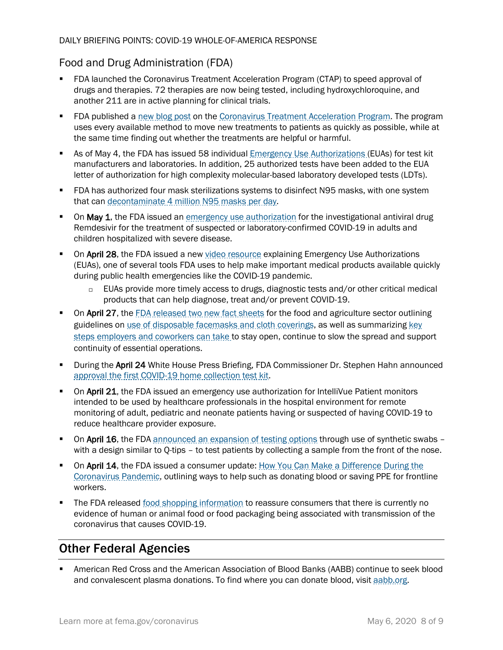## Food and Drug Administration (FDA)

- FDA launched the Coronavirus Treatment Acceleration Program (CTAP) to speed approval of drugs and therapies. 72 therapies are now being tested, including hydroxychloroquine, and another 211 are in active planning for clinical trials.
- **FIDA** published a [new blog post](https://www.fda.gov/news-events/fda-voices-perspectives-fda-leadership-and-experts/path-forward-coronavirus-treatment-acceleration-program) on the [Coronavirus Treatment Acceleration Program.](https://www.fda.gov/drugs/coronavirus-covid-19-drugs/coronavirus-treatment-acceleration-program-ctap) The program uses every available method to move new treatments to patients as quickly as possible, while at the same time finding out whether the treatments are helpful or harmful.
- As of May 4, the FDA has issued 58 individual **[Emergency Use Authorizations](https://www.fda.gov/medical-devices/emergency-situations-medical-devices/emergency-use-authorizations) (EUAs)** for test kit manufacturers and laboratories. In addition, 25 authorized tests have been added to the EUA letter of authorization for high complexity molecular-based laboratory developed tests (LDTs).
- FDA has authorized four mask sterilizations systems to disinfect N95 masks, with one system that can [decontaminate 4 million N95 masks per day.](https://www.fda.gov/news-events/press-announcements/coronavirus-covid-19-update-fda-issues-emergency-use-authorization-decontaminate-millions-n95)
- On May 1, the FDA issued an [emergency use authorization](https://www.fda.gov/media/137564/download) for the investigational antiviral drug Remdesivir for the treatment of suspected or laboratory-confirmed COVID-19 in adults and children hospitalized with severe disease.
- On April 28, the FDA issued a new [video resource](https://youtu.be/iGkwaESsGBQ) explaining Emergency Use Authorizations (EUAs), one of several tools FDA uses to help make important medical products available quickly during public health emergencies like the COVID-19 pandemic.
	- □ EUAs provide more timely access to drugs, diagnostic tests and/or other critical medical products that can help diagnose, treat and/or prevent COVID-19.
- On April 27, the [FDA released two new fact sheets](https://www.fda.gov/news-events/press-announcements/coronavirus-covid-19-update-daily-roundup-april-27-2020) for the food and agriculture sector outlining guidelines on [use of disposable facemasks and cloth coverings,](https://www.fda.gov/food/food-safety-during-emergencies/use-respirators-facemasks-and-cloth-face-coverings-food-and-agriculture-sector-during-coronavirus) as well as summarizing [key](https://www.fda.gov/food/food-safety-during-emergencies/what-do-if-you-have-covid-19-confirmed-positive-or-exposed-workers-your-food-production-storage-or)  [steps employers and coworkers can take](https://www.fda.gov/food/food-safety-during-emergencies/what-do-if-you-have-covid-19-confirmed-positive-or-exposed-workers-your-food-production-storage-or) to stay open, continue to slow the spread and support continuity of essential operations.
- **During the April 24 White House Press Briefing, FDA Commissioner Dr. Stephen Hahn announced** [approval the first COVID-19 home collection test kit.](https://www.fda.gov/news-events/press-announcements/coronavirus-covid-19-update-fda-authorizes-first-test-patient-home-sample-collection)
- **On April 21,** the FDA issued an emergency use authorization for IntelliVue Patient monitors intended to be used by healthcare professionals in the hospital environment for remote monitoring of adult, pediatric and neonate patients having or suspected of having COVID-19 to reduce healthcare provider exposure.
- On April 16, the FDA [announced an expansion of testing options](https://www.fda.gov/news-events/press-announcements/coronavirus-covid-19-update-fda-gates-foundation-unitedhealth-group-quantigen-and-us-cotton) through use of synthetic swabs with a design similar to Q-tips – to test patients by collecting a sample from the front of the nose.
- On April 14, the FDA issued a consumer update: How You Can Make a Difference During the [Coronavirus Pandemic,](https://www.fda.gov/consumers/consumer-updates/how-you-can-make-difference-during-coronavirus-pandemic) outlining ways to help such as donating blood or saving PPE for frontline workers.
- The FDA released [food shopping information](https://www.fda.gov/food/food-safety-during-emergencies/shopping-food-during-covid-19-pandemic-information-consumers) to reassure consumers that there is currently no evidence of human or animal food or food packaging being associated with transmission of the coronavirus that causes COVID-19.

# Other Federal Agencies

 American Red Cross and the American Association of Blood Banks (AABB) continue to seek blood and convalescent plasma donations. To find where you can donate blood, visi[t aabb.org.](http://www.aabb.org/tm/donation/Pages/Blood-Bank-Locator.aspx)